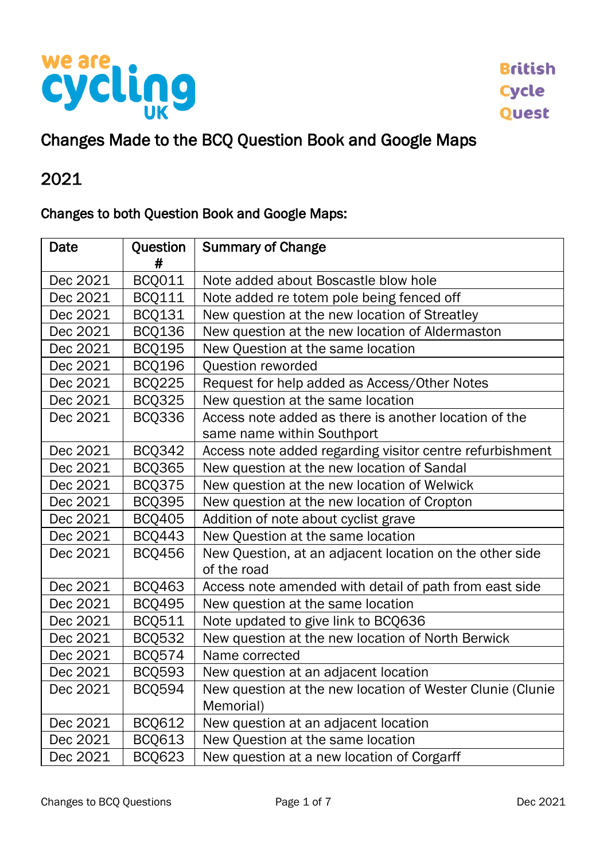

#### Changes Made to the BCQ Question Book and Google Maps

## 2021

#### Changes to both Question Book and Google Maps:

| Date     | Question<br># | <b>Summary of Change</b>                                               |  |  |
|----------|---------------|------------------------------------------------------------------------|--|--|
| Dec 2021 | <b>BCQ011</b> | Note added about Boscastle blow hole                                   |  |  |
| Dec 2021 | <b>BCQ111</b> | Note added re totem pole being fenced off                              |  |  |
| Dec 2021 | <b>BCQ131</b> | New question at the new location of Streatley                          |  |  |
| Dec 2021 | <b>BCQ136</b> | New question at the new location of Aldermaston                        |  |  |
| Dec 2021 | <b>BCQ195</b> | New Question at the same location                                      |  |  |
| Dec 2021 | <b>BCQ196</b> | Question reworded                                                      |  |  |
| Dec 2021 | <b>BCQ225</b> | Request for help added as Access/Other Notes                           |  |  |
| Dec 2021 | <b>BCQ325</b> | New question at the same location                                      |  |  |
| Dec 2021 | <b>BCQ336</b> | Access note added as there is another location of the                  |  |  |
|          |               | same name within Southport                                             |  |  |
| Dec 2021 | <b>BCQ342</b> | Access note added regarding visitor centre refurbishment               |  |  |
| Dec 2021 | <b>BCQ365</b> | New question at the new location of Sandal                             |  |  |
| Dec 2021 | <b>BCQ375</b> | New question at the new location of Welwick                            |  |  |
| Dec 2021 | <b>BCQ395</b> | New question at the new location of Cropton                            |  |  |
| Dec 2021 | <b>BCQ405</b> | Addition of note about cyclist grave                                   |  |  |
| Dec 2021 | <b>BCQ443</b> | New Question at the same location                                      |  |  |
| Dec 2021 | <b>BCQ456</b> | New Question, at an adjacent location on the other side<br>of the road |  |  |
| Dec 2021 | <b>BCQ463</b> | Access note amended with detail of path from east side                 |  |  |
| Dec 2021 | <b>BCQ495</b> | New question at the same location                                      |  |  |
| Dec 2021 | <b>BCQ511</b> | Note updated to give link to BCQ636                                    |  |  |
| Dec 2021 | <b>BCQ532</b> | New question at the new location of North Berwick                      |  |  |
| Dec 2021 | <b>BCQ574</b> | Name corrected                                                         |  |  |
| Dec 2021 | <b>BCQ593</b> | New question at an adjacent location                                   |  |  |
| Dec 2021 | <b>BCQ594</b> | New question at the new location of Wester Clunie (Clunie<br>Memorial) |  |  |
| Dec 2021 | <b>BCQ612</b> | New question at an adjacent location                                   |  |  |
| Dec 2021 | <b>BCQ613</b> | New Question at the same location                                      |  |  |
| Dec 2021 | <b>BCQ623</b> | New question at a new location of Corgarff                             |  |  |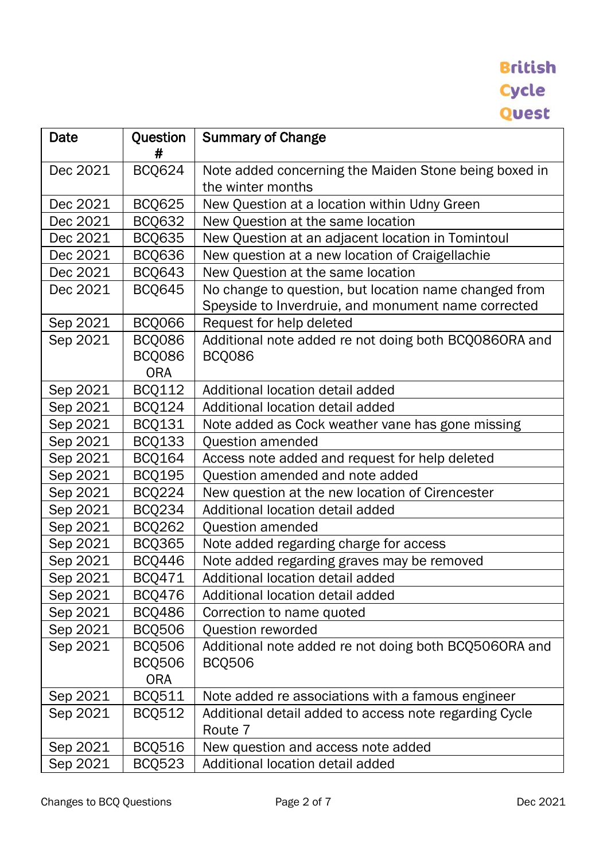| Date     | Question<br>#                                | <b>Summary of Change</b>                                                                                     |  |  |
|----------|----------------------------------------------|--------------------------------------------------------------------------------------------------------------|--|--|
| Dec 2021 | <b>BCQ624</b>                                | Note added concerning the Maiden Stone being boxed in<br>the winter months                                   |  |  |
| Dec 2021 | <b>BCQ625</b>                                | New Question at a location within Udny Green                                                                 |  |  |
| Dec 2021 | <b>BCQ632</b>                                | New Question at the same location                                                                            |  |  |
| Dec 2021 | <b>BCQ635</b>                                | New Question at an adjacent location in Tomintoul                                                            |  |  |
| Dec 2021 | <b>BCQ636</b>                                | New question at a new location of Craigellachie                                                              |  |  |
| Dec 2021 | <b>BCQ643</b>                                | New Question at the same location                                                                            |  |  |
| Dec 2021 | <b>BCQ645</b>                                | No change to question, but location name changed from<br>Speyside to Inverdruie, and monument name corrected |  |  |
| Sep 2021 | <b>BCQ066</b>                                | Request for help deleted                                                                                     |  |  |
| Sep 2021 | <b>BCQ086</b><br><b>BCQ086</b><br><b>ORA</b> | Additional note added re not doing both BCQ0860RA and<br><b>BCQ086</b>                                       |  |  |
| Sep 2021 | <b>BCQ112</b>                                | Additional location detail added                                                                             |  |  |
| Sep 2021 | <b>BCQ124</b>                                | Additional location detail added                                                                             |  |  |
| Sep 2021 | <b>BCQ131</b>                                | Note added as Cock weather vane has gone missing                                                             |  |  |
| Sep 2021 | <b>BCQ133</b>                                | Question amended                                                                                             |  |  |
| Sep 2021 | <b>BCQ164</b>                                | Access note added and request for help deleted                                                               |  |  |
| Sep 2021 | <b>BCQ195</b>                                | Question amended and note added                                                                              |  |  |
| Sep 2021 | <b>BCQ224</b>                                | New question at the new location of Cirencester                                                              |  |  |
| Sep 2021 | <b>BCQ234</b>                                | Additional location detail added                                                                             |  |  |
| Sep 2021 | <b>BCQ262</b>                                | Question amended                                                                                             |  |  |
| Sep 2021 | <b>BCQ365</b>                                | Note added regarding charge for access                                                                       |  |  |
| Sep 2021 | <b>BCQ446</b>                                | Note added regarding graves may be removed                                                                   |  |  |
| Sep 2021 | BCQ471                                       | Additional location detail added                                                                             |  |  |
| Sep 2021 | <b>BCQ476</b>                                | Additional location detail added                                                                             |  |  |
| Sep 2021 | <b>BCQ486</b>                                | Correction to name quoted                                                                                    |  |  |
| Sep 2021 | <b>BCQ506</b>                                | Question reworded                                                                                            |  |  |
| Sep 2021 | <b>BCQ506</b>                                | Additional note added re not doing both BCQ5060RA and                                                        |  |  |
|          | <b>BCQ506</b>                                | <b>BCQ506</b>                                                                                                |  |  |
|          | <b>ORA</b>                                   |                                                                                                              |  |  |
| Sep 2021 | <b>BCQ511</b>                                | Note added re associations with a famous engineer                                                            |  |  |
| Sep 2021 | <b>BCQ512</b>                                | Additional detail added to access note regarding Cycle<br>Route 7                                            |  |  |
| Sep 2021 | <b>BCQ516</b>                                | New question and access note added                                                                           |  |  |
| Sep 2021 | <b>BCQ523</b>                                | Additional location detail added                                                                             |  |  |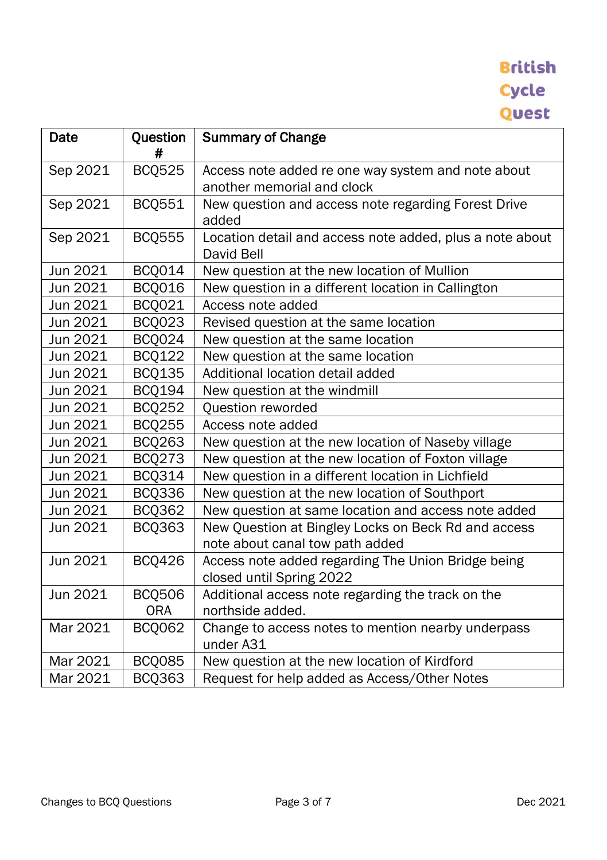| Date     | Question<br># | <b>Summary of Change</b>                                                               |  |  |
|----------|---------------|----------------------------------------------------------------------------------------|--|--|
| Sep 2021 | <b>BCQ525</b> | Access note added re one way system and note about<br>another memorial and clock       |  |  |
| Sep 2021 | <b>BCQ551</b> | New question and access note regarding Forest Drive<br>added                           |  |  |
| Sep 2021 | <b>BCQ555</b> | Location detail and access note added, plus a note about<br>David Bell                 |  |  |
| Jun 2021 | <b>BCQ014</b> | New question at the new location of Mullion                                            |  |  |
| Jun 2021 | BCQ016        | New question in a different location in Callington                                     |  |  |
| Jun 2021 | BCQ021        | Access note added                                                                      |  |  |
| Jun 2021 | <b>BCQ023</b> | Revised question at the same location                                                  |  |  |
| Jun 2021 | BCQ024        | New question at the same location                                                      |  |  |
| Jun 2021 | <b>BCQ122</b> | New question at the same location                                                      |  |  |
| Jun 2021 | <b>BCQ135</b> | Additional location detail added                                                       |  |  |
| Jun 2021 | <b>BCQ194</b> | New question at the windmill                                                           |  |  |
| Jun 2021 | <b>BCQ252</b> | Question reworded                                                                      |  |  |
| Jun 2021 | <b>BCQ255</b> | Access note added                                                                      |  |  |
| Jun 2021 | <b>BCQ263</b> | New question at the new location of Naseby village                                     |  |  |
| Jun 2021 | <b>BCQ273</b> | New question at the new location of Foxton village                                     |  |  |
| Jun 2021 | <b>BCQ314</b> | New question in a different location in Lichfield                                      |  |  |
| Jun 2021 | <b>BCQ336</b> | New question at the new location of Southport                                          |  |  |
| Jun 2021 | <b>BCQ362</b> | New question at same location and access note added                                    |  |  |
| Jun 2021 | <b>BCQ363</b> | New Question at Bingley Locks on Beck Rd and access<br>note about canal tow path added |  |  |
| Jun 2021 | <b>BCQ426</b> | Access note added regarding The Union Bridge being<br>closed until Spring 2022         |  |  |
| Jun 2021 | <b>BCQ506</b> | Additional access note regarding the track on the                                      |  |  |
|          | <b>ORA</b>    | northside added.                                                                       |  |  |
| Mar 2021 | <b>BCQ062</b> | Change to access notes to mention nearby underpass<br>under A31                        |  |  |
| Mar 2021 | <b>BCQ085</b> | New question at the new location of Kirdford                                           |  |  |
| Mar 2021 | <b>BCQ363</b> | Request for help added as Access/Other Notes                                           |  |  |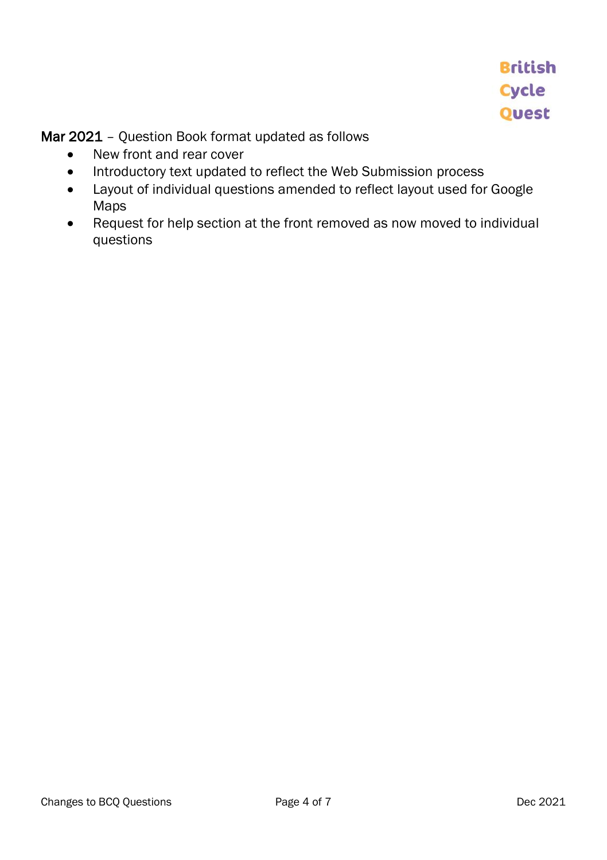Mar 2021 - Question Book format updated as follows

- New front and rear cover
- Introductory text updated to reflect the Web Submission process
- Layout of individual questions amended to reflect layout used for Google Maps
- Request for help section at the front removed as now moved to individual questions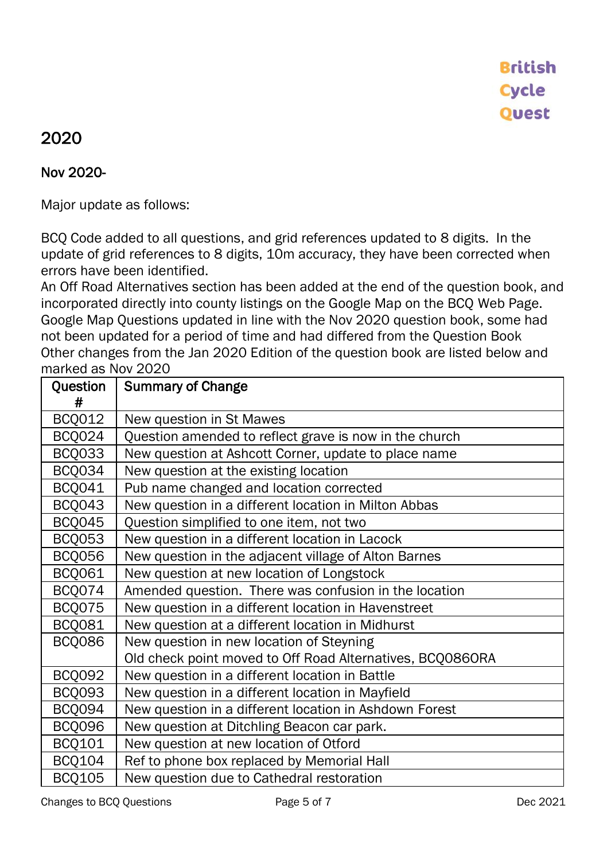#### 2020

#### Nov 2020-

Major update as follows:

BCQ Code added to all questions, and grid references updated to 8 digits. In the update of grid references to 8 digits, 10m accuracy, they have been corrected when errors have been identified.

An Off Road Alternatives section has been added at the end of the question book, and incorporated directly into county listings on the Google Map on the BCQ Web Page. Google Map Questions updated in line with the Nov 2020 question book, some had not been updated for a period of time and had differed from the Question Book Other changes from the Jan 2020 Edition of the question book are listed below and marked as Nov 2020

| Question<br># | <b>Summary of Change</b>                                  |
|---------------|-----------------------------------------------------------|
| <b>BCQ012</b> |                                                           |
|               | New question in St Mawes                                  |
| BCQ024        | Question amended to reflect grave is now in the church    |
| <b>BCQ033</b> | New question at Ashcott Corner, update to place name      |
| BCQ034        | New question at the existing location                     |
| <b>BCQ041</b> | Pub name changed and location corrected                   |
| <b>BCQ043</b> | New question in a different location in Milton Abbas      |
| <b>BCQ045</b> | Question simplified to one item, not two                  |
| <b>BCQ053</b> | New question in a different location in Lacock            |
| <b>BCQ056</b> | New question in the adjacent village of Alton Barnes      |
| <b>BCQ061</b> | New question at new location of Longstock                 |
| BCQ074        | Amended question. There was confusion in the location     |
| BCQ075        | New question in a different location in Havenstreet       |
| <b>BCQ081</b> | New question at a different location in Midhurst          |
| <b>BCQ086</b> | New question in new location of Steyning                  |
|               | Old check point moved to Off Road Alternatives, BCQ086ORA |
| <b>BCQ092</b> | New question in a different location in Battle            |
| <b>BCQ093</b> | New question in a different location in Mayfield          |
| BCQ094        | New question in a different location in Ashdown Forest    |
| <b>BCQ096</b> | New question at Ditchling Beacon car park.                |
| BCQ101        | New question at new location of Otford                    |
| <b>BCQ104</b> | Ref to phone box replaced by Memorial Hall                |
| <b>BCQ105</b> | New question due to Cathedral restoration                 |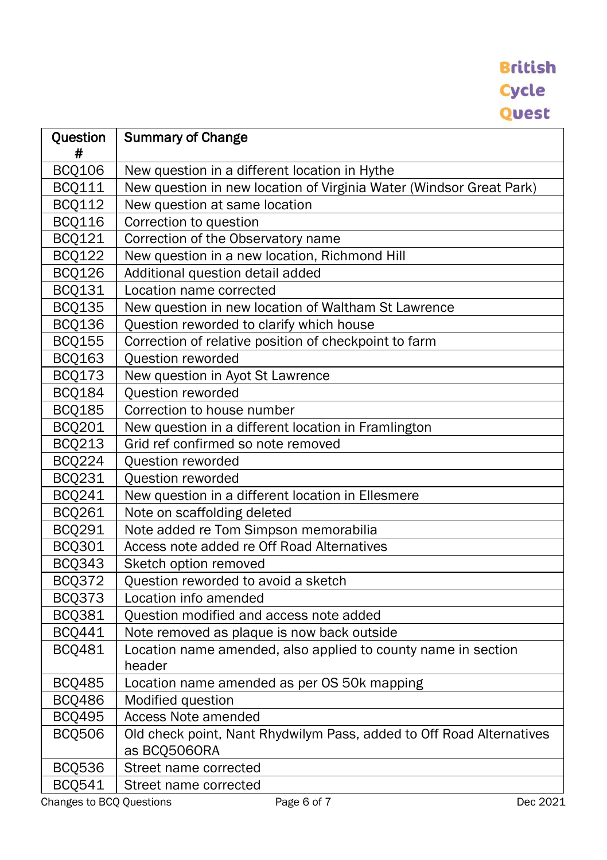| Question      | <b>Summary of Change</b>                                             |  |  |
|---------------|----------------------------------------------------------------------|--|--|
| #             |                                                                      |  |  |
| <b>BCQ106</b> | New question in a different location in Hythe                        |  |  |
| <b>BCQ111</b> | New question in new location of Virginia Water (Windsor Great Park)  |  |  |
| <b>BCQ112</b> | New question at same location                                        |  |  |
| <b>BCQ116</b> | Correction to question                                               |  |  |
| <b>BCQ121</b> | Correction of the Observatory name                                   |  |  |
| <b>BCQ122</b> | New question in a new location, Richmond Hill                        |  |  |
| <b>BCQ126</b> | Additional question detail added                                     |  |  |
| <b>BCQ131</b> | Location name corrected                                              |  |  |
| <b>BCQ135</b> | New question in new location of Waltham St Lawrence                  |  |  |
| <b>BCQ136</b> | Question reworded to clarify which house                             |  |  |
| <b>BCQ155</b> | Correction of relative position of checkpoint to farm                |  |  |
| <b>BCQ163</b> | Question reworded                                                    |  |  |
| <b>BCQ173</b> | New question in Ayot St Lawrence                                     |  |  |
| <b>BCQ184</b> | Question reworded                                                    |  |  |
| <b>BCQ185</b> | Correction to house number                                           |  |  |
| BCQ201        | New question in a different location in Framlington                  |  |  |
| <b>BCQ213</b> | Grid ref confirmed so note removed                                   |  |  |
| <b>BCQ224</b> | Question reworded                                                    |  |  |
| <b>BCQ231</b> | Question reworded                                                    |  |  |
| BCQ241        | New question in a different location in Ellesmere                    |  |  |
| <b>BCQ261</b> | Note on scaffolding deleted                                          |  |  |
| <b>BCQ291</b> | Note added re Tom Simpson memorabilia                                |  |  |
| <b>BCQ301</b> | Access note added re Off Road Alternatives                           |  |  |
| <b>BCQ343</b> | Sketch option removed                                                |  |  |
| <b>BCQ372</b> | Question reworded to avoid a sketch                                  |  |  |
| <b>BCQ373</b> | Location info amended                                                |  |  |
| <b>BCQ381</b> | Question modified and access note added                              |  |  |
| <b>BCQ441</b> | Note removed as plaque is now back outside                           |  |  |
| <b>BCQ481</b> | Location name amended, also applied to county name in section        |  |  |
|               | header                                                               |  |  |
| <b>BCQ485</b> | Location name amended as per OS 50k mapping                          |  |  |
| <b>BCQ486</b> | Modified question                                                    |  |  |
| <b>BCQ495</b> | Access Note amended                                                  |  |  |
| <b>BCQ506</b> | Old check point, Nant Rhydwilym Pass, added to Off Road Alternatives |  |  |
|               | as BCQ5060RA                                                         |  |  |
| <b>BCQ536</b> | Street name corrected                                                |  |  |
| <b>BCQ541</b> | Street name corrected                                                |  |  |